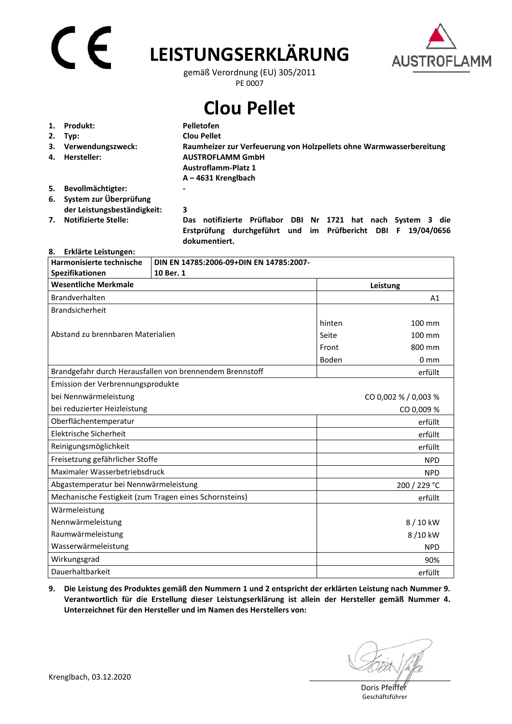# CE

## **LEISTUNGSERKLÄRUNG**



gemäß Verordnung (EU) 305/2011 PE 0007

**Clou Pellet** 

| 1. | <b>Produkt:</b>             | Pelletofen                                                          |  |
|----|-----------------------------|---------------------------------------------------------------------|--|
| 2. | Typ:                        | <b>Clou Pellet</b>                                                  |  |
|    | 3. Verwendungszweck:        | Raumheizer zur Verfeuerung von Holzpellets ohne Warmwasserbereitung |  |
| 4. | Hersteller:                 | <b>AUSTROFLAMM GmbH</b>                                             |  |
|    |                             | <b>Austroflamm-Platz 1</b>                                          |  |
|    |                             | $A - 4631$ Krenglbach                                               |  |
| 5. | Bevollmächtigter:           | -                                                                   |  |
|    | 6. System zur Überprüfung   |                                                                     |  |
|    | der Leistungsbeständigkeit: | 3                                                                   |  |
|    | Alatificianta Ctallar       | Dee notificiente Duifleben DDJ Nu 1731 het noch Custom 3 die        |  |

**7. Notifizierte Stelle: Das notifizierte Prüflabor DBI Nr 1721 hat nach System 3 die Erstprüfung durchgeführt und im Prüfbericht DBI F 19/04/0656 dokumentiert.** 

### **8. Erklärte Leistungen:**

| Harmonisierte technische                              | DIN EN 14785:2006-09+DIN EN 14785:2007-                           |                 |                      |  |
|-------------------------------------------------------|-------------------------------------------------------------------|-----------------|----------------------|--|
| Spezifikationen                                       | 10 Ber. 1                                                         |                 |                      |  |
| <b>Wesentliche Merkmale</b>                           | Leistung                                                          |                 |                      |  |
| <b>Brandverhalten</b>                                 |                                                                   |                 | A1                   |  |
| <b>Brandsicherheit</b>                                |                                                                   |                 |                      |  |
|                                                       |                                                                   | hinten          | 100 mm               |  |
| Abstand zu brennbaren Materialien                     |                                                                   | Seite           | 100 mm               |  |
|                                                       |                                                                   | Front           | 800 mm               |  |
|                                                       | Boden                                                             | 0 <sub>mm</sub> |                      |  |
|                                                       | Brandgefahr durch Herausfallen von brennendem Brennstoff          |                 | erfüllt              |  |
| Emission der Verbrennungsprodukte                     |                                                                   |                 |                      |  |
| bei Nennwärmeleistung                                 |                                                                   |                 | CO 0,002 % / 0,003 % |  |
| bei reduzierter Heizleistung                          |                                                                   | CO 0,009 %      |                      |  |
| Oberflächentemperatur                                 |                                                                   |                 | erfüllt              |  |
| Elektrische Sicherheit                                |                                                                   |                 | erfüllt              |  |
| Reinigungsmöglichkeit                                 | erfüllt                                                           |                 |                      |  |
| Freisetzung gefährlicher Stoffe                       |                                                                   |                 | <b>NPD</b>           |  |
| Maximaler Wasserbetriebsdruck                         |                                                                   |                 | <b>NPD</b>           |  |
| Abgastemperatur bei Nennwärmeleistung<br>200 / 229 °C |                                                                   |                 |                      |  |
|                                                       | Mechanische Festigkeit (zum Tragen eines Schornsteins)<br>erfüllt |                 |                      |  |
| Wärmeleistung                                         |                                                                   |                 |                      |  |
| Nennwärmeleistung                                     | 8/10 kW                                                           |                 |                      |  |
| Raumwärmeleistung                                     | 8/10 kW                                                           |                 |                      |  |
| Wasserwärmeleistung<br><b>NPD</b>                     |                                                                   |                 |                      |  |
| Wirkungsgrad                                          | 90%                                                               |                 |                      |  |
| Dauerhaltbarkeit<br>erfüllt                           |                                                                   |                 |                      |  |

**9. Die Leistung des Produktes gemäß den Nummern 1 und 2 entspricht der erklärten Leistung nach Nummer 9. Verantwortlich für die Erstellung dieser Leistungserklärung ist allein der Hersteller gemäß Nummer 4. Unterzeichnet für den Hersteller und im Namen des Herstellers von:**

Doris Pfeiffer Geschäftsführer

Krenglbach, 03.12.2020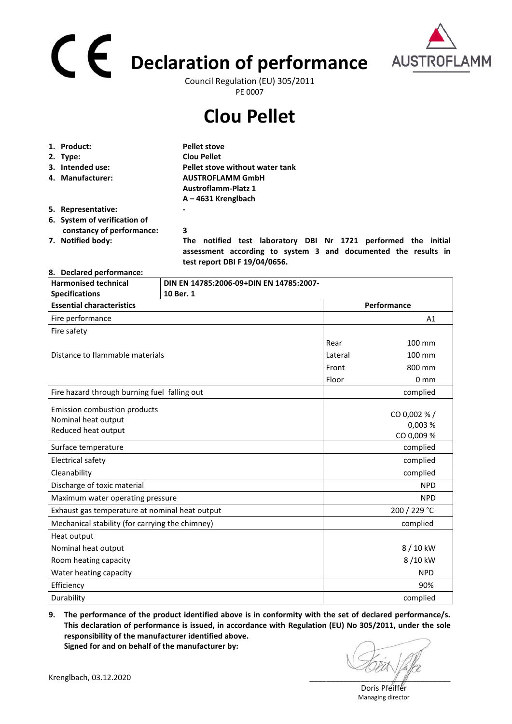# **Declaration of performance**  Council Regulation (EU) 305/2011



PE 0007

## **Clou Pellet**

|  | 1. Product:                  | <b>Pellet stove</b>                                                                                                              |
|--|------------------------------|----------------------------------------------------------------------------------------------------------------------------------|
|  | 2. Type:                     | <b>Clou Pellet</b>                                                                                                               |
|  | 3. Intended use:             | Pellet stove without water tank                                                                                                  |
|  | 4. Manufacturer:             | <b>AUSTROFLAMM GmbH</b>                                                                                                          |
|  |                              | <b>Austroflamm-Platz 1</b>                                                                                                       |
|  |                              | $A - 4631$ Krenglbach                                                                                                            |
|  | 5. Representative:           |                                                                                                                                  |
|  | 6. System of verification of |                                                                                                                                  |
|  | constancy of performance:    | 3                                                                                                                                |
|  | 7. Notified body:            | The notified test laboratory DBI Nr 1721 performed the initial<br>assessment according to system 3 and documented the results in |

 **test report DBI F 19/04/0656.** 

#### **8. Declared performance:**

| <b>Harmonised technical</b><br>DIN EN 14785:2006-09+DIN EN 14785:2007- |             |          |                 |
|------------------------------------------------------------------------|-------------|----------|-----------------|
| <b>Specifications</b>                                                  | 10 Ber. 1   |          |                 |
| <b>Essential characteristics</b>                                       | Performance |          |                 |
| Fire performance                                                       |             |          | A <sub>1</sub>  |
| Fire safety                                                            |             |          |                 |
|                                                                        |             | Rear     | 100 mm          |
| Distance to flammable materials                                        |             | Lateral  | 100 mm          |
|                                                                        |             | Front    | 800 mm          |
|                                                                        |             | Floor    | 0 <sub>mm</sub> |
| Fire hazard through burning fuel falling out                           |             |          | complied        |
| <b>Emission combustion products</b>                                    |             |          | CO 0,002 %/     |
| Nominal heat output                                                    |             |          | 0,003 %         |
| Reduced heat output                                                    |             |          | CO 0,009 %      |
| Surface temperature                                                    |             | complied |                 |
| <b>Electrical safety</b>                                               |             |          | complied        |
| Cleanability                                                           |             |          | complied        |
| Discharge of toxic material                                            |             |          | <b>NPD</b>      |
| Maximum water operating pressure                                       |             |          | <b>NPD</b>      |
| Exhaust gas temperature at nominal heat output                         |             |          | 200 / 229 °C    |
| Mechanical stability (for carrying the chimney)                        |             |          | complied        |
| Heat output                                                            |             |          |                 |
| Nominal heat output                                                    |             |          | 8/10 kW         |
| Room heating capacity                                                  |             |          | 8/10 kW         |
| Water heating capacity                                                 |             |          | <b>NPD</b>      |
| Efficiency                                                             |             |          | 90%             |
| Durability                                                             |             |          | complied        |

**9. The performance of the product identified above is in conformity with the set of declared performance/s. This declaration of performance is issued, in accordance with Regulation (EU) No 305/2011, under the sole responsibility of the manufacturer identified above.** 

**Signed for and on behalf of the manufacturer by:**

Doris Pfeiffer Managing director